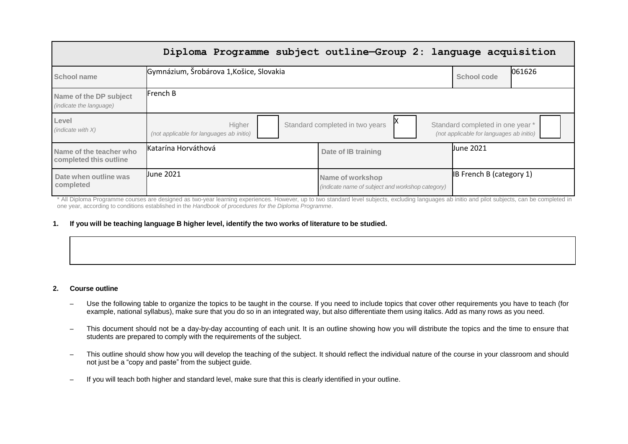|                                                   | Diploma Programme subject outline-Group 2: language acquisition |                                                                      |                                                                              |
|---------------------------------------------------|-----------------------------------------------------------------|----------------------------------------------------------------------|------------------------------------------------------------------------------|
| School name                                       | Gymnázium, Šrobárova 1, Košice, Slovakia                        |                                                                      | 061626<br>School code                                                        |
| Name of the DP subject<br>(indicate the language) | French B                                                        |                                                                      |                                                                              |
| Level<br>(indicate with X)                        | Higher<br>(not applicable for languages ab initio)              | Standard completed in two years                                      | Standard completed in one year *<br>(not applicable for languages ab initio) |
| Name of the teacher who<br>completed this outline | Katarína Horváthová                                             | Date of IB training                                                  | <b>June 2021</b>                                                             |
| Date when outline was<br>completed                | <b>Uune 2021</b>                                                | Name of workshop<br>(indicate name of subject and workshop category) | <b>IB French B (category 1)</b>                                              |

\* All Diploma Programme courses are designed as two-year learning experiences. However, up to two standard level subjects, excluding languages ab initio and pilot subjects, can be completed in one year, according to conditions established in the *Handbook of procedures for the Diploma Programme*.

## 1. If you will be teaching language B higher level, identify the two works of literature to be studied.

#### **2. Course outline**

- Use the following table to organize the topics to be taught in the course. If you need to include topics that cover other requirements you have to teach (for example, national syllabus), make sure that you do so in an integrated way, but also differentiate them using italics. Add as many rows as you need.
- This document should not be a day-by-day accounting of each unit. It is an outline showing how you will distribute the topics and the time to ensure that students are prepared to comply with the requirements of the subject.
- This outline should show how you will develop the teaching of the subject. It should reflect the individual nature of the course in your classroom and should not just be a "copy and paste" from the subject guide.
- If you will teach both higher and standard level, make sure that this is clearly identified in your outline.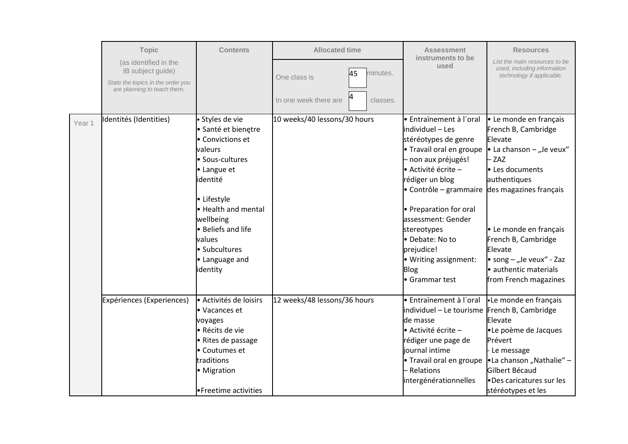|        | <b>Topic</b>                                                                                                   | <b>Contents</b>                                                                                                                                                                                                                                              | <b>Allocated time</b>                                               | <b>Assessment</b>                                                                                                                                                                                                                                                                                                                             | <b>Resources</b>                                                                                                                                                                                                                                                                                     |
|--------|----------------------------------------------------------------------------------------------------------------|--------------------------------------------------------------------------------------------------------------------------------------------------------------------------------------------------------------------------------------------------------------|---------------------------------------------------------------------|-----------------------------------------------------------------------------------------------------------------------------------------------------------------------------------------------------------------------------------------------------------------------------------------------------------------------------------------------|------------------------------------------------------------------------------------------------------------------------------------------------------------------------------------------------------------------------------------------------------------------------------------------------------|
|        | (as identified in the<br>IB subject guide)<br>State the topics in the order you<br>are planning to teach them. |                                                                                                                                                                                                                                                              | minutes.<br>45<br>One class is<br>In one week there are<br>classes. | instruments to be<br>used                                                                                                                                                                                                                                                                                                                     | List the main resources to be<br>used, including information<br>technology if applicable.                                                                                                                                                                                                            |
| Year 1 | Identités (Identities)                                                                                         | · Styles de vie<br>· Santé et bienetre<br>• Convictions et<br>valeurs<br>• Sous-cultures<br>• Langue et<br>identité<br>• Lifestyle<br>• Health and mental<br>wellbeing<br><b>•</b> Beliefs and life<br>values<br>• Subcultures<br>• Language and<br>identity | 10 weeks/40 lessons/30 hours                                        | • Entraïnement à l'oral<br>individuel - Les<br>stéréotypes de genre<br>• Travail oral en groupe<br>- non aux préjugés!<br>• Activité écrite -<br>rédiger un blog<br>• Contrôle – grammaire<br>• Preparation for oral<br>assessment: Gender<br>stereotypes<br>• Debate: No to<br>prejudice!<br>• Writing assignment:<br>Blog<br>• Grammar test | • Le monde en français<br>French B, Cambridge<br>Elevate<br>• La chanson – "Je veux"<br>ZAZ<br>• Les documents<br>authentiques<br>des magazines français<br>• Le monde en français<br>French B, Cambridge<br>Elevate<br>• song $-$ "Je veux" - Zaz<br>· authentic materials<br>from French magazines |
|        | Expériences (Experiences)                                                                                      | - Activités de loisirs<br>• Vacances et<br>voyages<br>• Récits de vie<br>• Rites de passage<br>• Coutumes et<br>traditions<br>• Migration<br>• Freetime activities                                                                                           | 12 weeks/48 lessons/36 hours                                        | · Entraïnement à l'oral<br>individuel - Le tourisme French B, Cambridge<br>de masse<br>• Activité écrite -<br>rédiger une page de<br>journal intime<br>• Travail oral en groupe<br>- Relations<br>intergénérationnelles                                                                                                                       | •Le monde en français<br>Elevate<br>•Le poème de Jacques<br>Prévert<br>Le message<br>•La chanson "Nathalie" -<br>Gilbert Bécaud<br>•Des caricatures sur les<br>stéréotypes et les                                                                                                                    |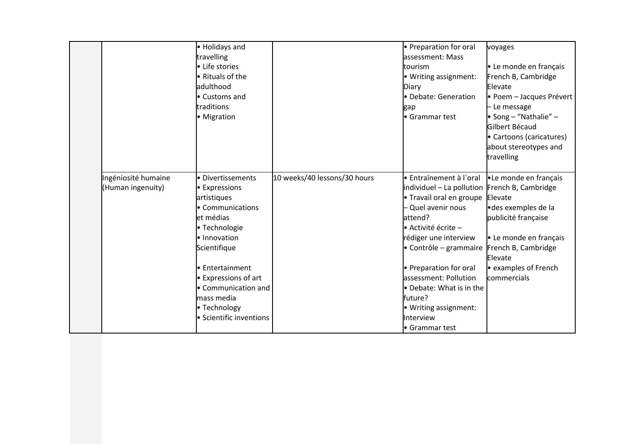|                     | • Holidays and            |                              | • Preparation for oral                        | voyages                  |
|---------------------|---------------------------|------------------------------|-----------------------------------------------|--------------------------|
|                     | travelling                |                              | lassessment: Mass                             |                          |
|                     | • Life stories            |                              | tourism                                       | • Le monde en français   |
|                     | • Rituals of the          |                              | • Writing assignment:                         | French B, Cambridge      |
|                     | adulthood                 |                              | Diary                                         | Elevate                  |
|                     | l• Customs and            |                              | • Debate: Generation                          | · Poem - Jacques Prévert |
|                     | traditions                |                              | gap                                           | Le message               |
|                     | • Migration               |                              | Grammar test                                  | • Song – "Nathalie" –    |
|                     |                           |                              |                                               | Gilbert Bécaud           |
|                     |                           |                              |                                               | • Cartoons (caricatures) |
|                     |                           |                              |                                               | about stereotypes and    |
|                     |                           |                              |                                               | travelling               |
|                     |                           |                              |                                               |                          |
| Ingéniosité humaine | · Divertissements         | 10 weeks/40 lessons/30 hours | <b>Entraïnement à l'oral</b>                  | •Le monde en français    |
| (Human ingenuity)   | • Expressions             |                              | individuel - La pollution French B, Cambridge |                          |
|                     | artistiques               |                              | • Travail oral en groupe                      | Elevate                  |
|                     | • Communications          |                              | - Quel avenir nous                            | ·des exemples de la      |
|                     | et médias                 |                              | attend?                                       | publicité française      |
|                     | · Technologie             |                              | • Activité écrite -                           |                          |
|                     | · Innovation              |                              | rédiger une interview                         | • Le monde en français   |
|                     | Scientifique              |                              | $\bullet$ Contrôle – grammaire                | French B, Cambridge      |
|                     |                           |                              |                                               | Elevate                  |
|                     | • Entertainment           |                              | • Preparation for oral                        | e examples of French     |
|                     | <b>Expressions of art</b> |                              | assessment: Pollution                         | commercials              |
|                     | • Communication and       |                              | • Debate: What is in the                      |                          |
|                     | mass media                |                              | future?                                       |                          |
|                     | • Technology              |                              | • Writing assignment:                         |                          |
|                     | • Scientific inventions   |                              | Interview                                     |                          |
|                     |                           |                              | Grammar test                                  |                          |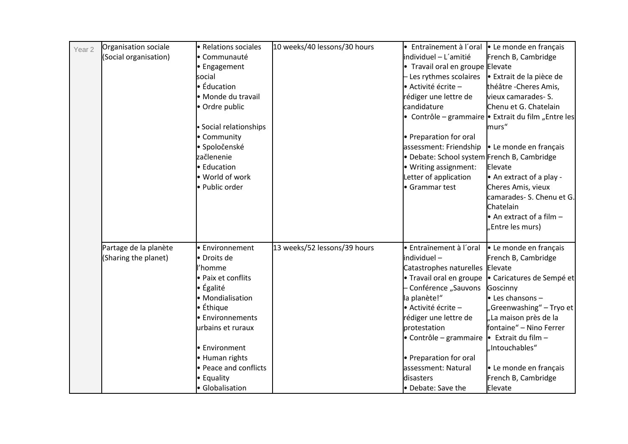| Year <sub>2</sub> | Organisation sociale  | • Relations sociales   | 10 weeks/40 lessons/30 hours | • Entraïnement à l'oral                     | • Le monde en français                                      |
|-------------------|-----------------------|------------------------|------------------------------|---------------------------------------------|-------------------------------------------------------------|
|                   | (Social organisation) | • Communauté           |                              | individuel - L'amitié                       | French B, Cambridge                                         |
|                   |                       | • Engagement           |                              | • Travail oral en groupe Elevate            |                                                             |
|                   |                       | social                 |                              | - Les rythmes scolaires                     | · Extrait de la pièce de                                    |
|                   |                       | · Éducation            |                              | • Activité écrite -                         | théâtre - Cheres Amis,                                      |
|                   |                       | · Monde du travail     |                              | rédiger une lettre de                       | vieux camarades- S.                                         |
|                   |                       | • Ordre public         |                              | candidature                                 | Chenu et G. Chatelain                                       |
|                   |                       |                        |                              |                                             | • Contrôle – grammaire $\bullet$ Extrait du film "Entre les |
|                   |                       | · Social relationships |                              |                                             | murs"                                                       |
|                   |                       | • Community            |                              | • Preparation for oral                      |                                                             |
|                   |                       | · Spoločenské          |                              | assessment: Friendship                      | • Le monde en français                                      |
|                   |                       | začlenenie             |                              | • Debate: School system French B, Cambridge |                                                             |
|                   |                       | • Education            |                              | • Writing assignment:                       | Elevate                                                     |
|                   |                       | • World of work        |                              | Letter of application                       | • An extract of a play -                                    |
|                   |                       | · Public order         |                              | • Grammar test                              | Cheres Amis, vieux                                          |
|                   |                       |                        |                              |                                             | camarades- S. Chenu et G.                                   |
|                   |                       |                        |                              |                                             | Chatelain                                                   |
|                   |                       |                        |                              |                                             | $\bullet$ An extract of a film $-$                          |
|                   |                       |                        |                              |                                             | "Entre les murs)                                            |
|                   |                       |                        |                              |                                             |                                                             |
|                   | Partage de la planète | • Environnement        | 13 weeks/52 lessons/39 hours | · Entraïnement à l'oral                     | - Le monde en français                                      |
|                   | (Sharing the planet)  | • Droits de            |                              | individuel-                                 | French B, Cambridge                                         |
|                   |                       | 'homme                 |                              | Catastrophes naturelles                     | Elevate                                                     |
|                   |                       | • Paix et conflits     |                              | • Travail oral en groupe                    | · Caricatures de Sempé et                                   |
|                   |                       | $\bullet$ Égalité      |                              | - Conférence "Sauvons                       | Goscinny                                                    |
|                   |                       | • Mondialisation       |                              | la planète!"                                | $\bullet$ Les chansons -                                    |
|                   |                       | • Éthique              |                              | • Activité écrite -                         | "Greenwashing" – Tryo et                                    |
|                   |                       | • Environnements       |                              | rédiger une lettre de                       | "La maison près de la                                       |
|                   |                       | urbains et ruraux      |                              | protestation                                | fontaine" – Nino Ferrer                                     |
|                   |                       |                        |                              | • Contrôle - grammaire                      | $\bullet$ Extrait du film -                                 |
|                   |                       | • Environment          |                              |                                             | "Intouchables"                                              |
|                   |                       | • Human rights         |                              | • Preparation for oral                      |                                                             |
|                   |                       | • Peace and conflicts  |                              | assessment: Natural                         | · Le monde en français                                      |
|                   |                       | • Equality             |                              | disasters                                   | French B, Cambridge                                         |
|                   |                       | • Globalisation        |                              | • Debate: Save the                          | Elevate                                                     |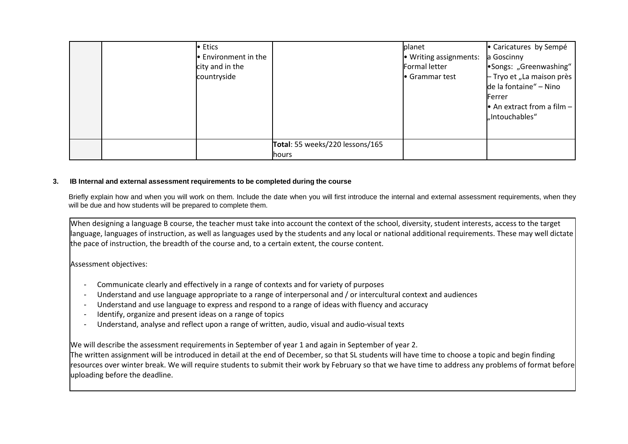|  | • Etics<br><b>Environment in the</b><br>city and in the<br>countryside |                                                 | <b>I</b> planet<br>• Writing assignments:<br><b>Formal letter</b><br>Grammar test | • Caricatures by Sempé<br>a Goscinny<br>•Songs: "Greenwashing"<br>- Tryo et "La maison près<br>de la fontaine" - Nino<br><b>Ferrer</b><br>• An extract from a film $-$<br>"Intouchables" |
|--|------------------------------------------------------------------------|-------------------------------------------------|-----------------------------------------------------------------------------------|------------------------------------------------------------------------------------------------------------------------------------------------------------------------------------------|
|  |                                                                        | Total: 55 weeks/220 lessons/165<br><b>hours</b> |                                                                                   |                                                                                                                                                                                          |

## **3. IB Internal and external assessment requirements to be completed during the course**

Briefly explain how and when you will work on them. Include the date when you will first introduce the internal and external assessment requirements, when they will be due and how students will be prepared to complete them.

When designing a language B course, the teacher must take into account the context of the school, diversity, student interests, access to the target language, languages of instruction, as well as languages used by the students and any local or national additional requirements. These may well dictate the pace of instruction, the breadth of the course and, to a certain extent, the course content.

# Assessment objectives:

- Communicate clearly and effectively in a range of contexts and for variety of purposes
- Understand and use language appropriate to a range of interpersonal and / or intercultural context and audiences
- Understand and use language to express and respond to a range of ideas with fluency and accuracy
- Identify, organize and present ideas on a range of topics
- Understand, analyse and reflect upon a range of written, audio, visual and audio-visual texts

We will describe the assessment requirements in September of year 1 and again in September of year 2.

The written assignment will be introduced in detail at the end of December, so that SL students will have time to choose a topic and begin finding resources over winter break. We will require students to submit their work by February so that we have time to address any problems of format before uploading before the deadline.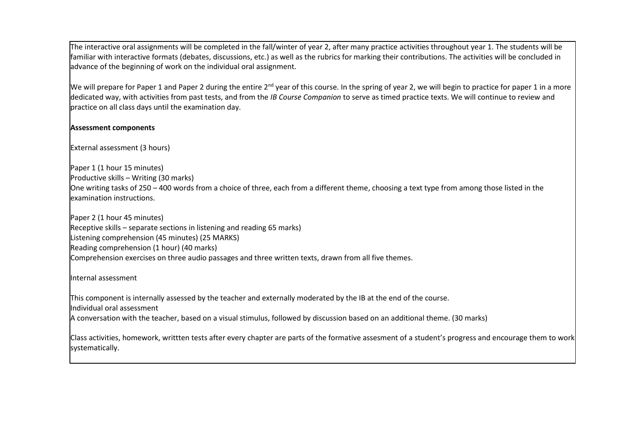The interactive oral assignments will be completed in the fall/winter of year 2, after many practice activities throughout year 1. The students will be familiar with interactive formats (debates, discussions, etc.) as well as the rubrics for marking their contributions. The activities will be concluded in advance of the beginning of work on the individual oral assignment.

We will prepare for Paper 1 and Paper 2 during the entire  $2^{nd}$  year of this course. In the spring of year 2, we will begin to practice for paper 1 in a more dedicated way, with activities from past tests, and from the *IB Course Companion* to serve as timed practice texts. We will continue to review and practice on all class days until the examination day.

# **Assessment components**

External assessment (3 hours)

Paper 1 (1 hour 15 minutes) Productive skills – Writing (30 marks) One writing tasks of 250 – 400 words from a choice of three, each from a different theme, choosing a text type from among those listed in the examination instructions.

Paper 2 (1 hour 45 minutes) Receptive skills – separate sections in listening and reading 65 marks) Listening comprehension (45 minutes) (25 MARKS) Reading comprehension (1 hour) (40 marks) Comprehension exercises on three audio passages and three written texts, drawn from all five themes.

Internal assessment

This component is internally assessed by the teacher and externally moderated by the IB at the end of the course. Individual oral assessment

A conversation with the teacher, based on a visual stimulus, followed by discussion based on an additional theme. (30 marks)

Class activities, homework, writtten tests after every chapter are parts of the formative assesment of a student's progress and encourage them to work systematically.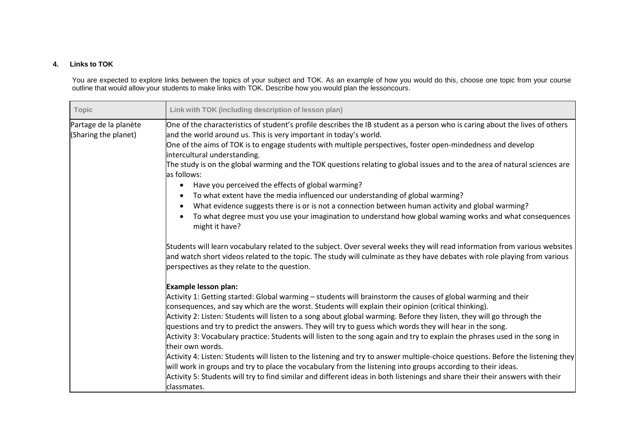# **4. Links to TOK**

You are expected to explore links between the topics of your subject and TOK. As an example of how you would do this, choose one topic from your course outline that would allow your students to make links with TOK. Describe how you would plan the lessoncours.

| <b>Topic</b>                                  | Link with TOK (including description of lesson plan)                                                                                                                                                                                                                                                    |
|-----------------------------------------------|---------------------------------------------------------------------------------------------------------------------------------------------------------------------------------------------------------------------------------------------------------------------------------------------------------|
| Partage de la planète<br>(Sharing the planet) | One of the characteristics of student's profile describes the IB student as a person who is caring about the lives of others<br>and the world around us. This is very important in today's world.                                                                                                       |
|                                               | One of the aims of TOK is to engage students with multiple perspectives, foster open-mindedness and develop<br>intercultural understanding.                                                                                                                                                             |
|                                               | The study is on the global warming and the TOK questions relating to global issues and to the area of natural sciences are<br>as follows:                                                                                                                                                               |
|                                               | Have you perceived the effects of global warming?<br>٠                                                                                                                                                                                                                                                  |
|                                               | To what extent have the media influenced our understanding of global warming?<br>$\bullet$                                                                                                                                                                                                              |
|                                               | What evidence suggests there is or is not a connection between human activity and global warming?<br>$\bullet$                                                                                                                                                                                          |
|                                               | To what degree must you use your imagination to understand how global waming works and what consequences<br>$\bullet$<br>might it have?                                                                                                                                                                 |
|                                               | Students will learn vocabulary related to the subject. Over several weeks they will read information from various websites<br>and watch short videos related to the topic. The study will culminate as they have debates with role playing from various<br>perspectives as they relate to the question. |
|                                               | Example lesson plan:                                                                                                                                                                                                                                                                                    |
|                                               | Activity 1: Getting started: Global warming - students will brainstorm the causes of global warming and their<br>consequences, and say which are the worst. Students will explain their opinion (critical thinking).                                                                                    |
|                                               | Activity 2: Listen: Students will listen to a song about global warming. Before they listen, they will go through the<br>questions and try to predict the answers. They will try to guess which words they will hear in the song.                                                                       |
|                                               | Activity 3: Vocabulary practice: Students will listen to the song again and try to explain the phrases used in the song in<br>their own words.                                                                                                                                                          |
|                                               | Activity 4: Listen: Students will listen to the listening and try to answer multiple-choice questions. Before the listening they<br>will work in groups and try to place the vocabulary from the listening into groups according to their ideas.                                                        |
|                                               | Activity 5: Students will try to find similar and different ideas in both listenings and share their their answers with their<br>classmates.                                                                                                                                                            |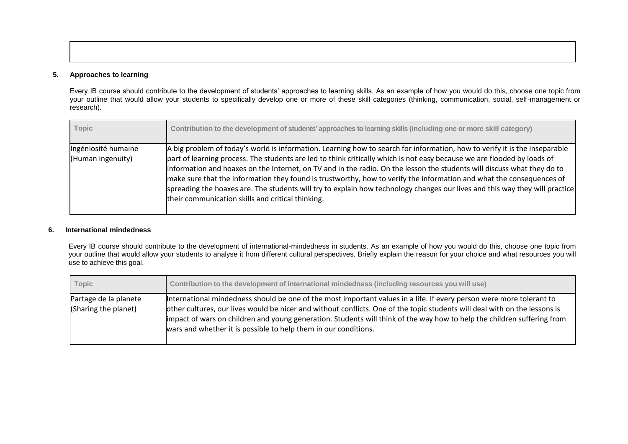### **5. Approaches to learning**

Every IB course should contribute to the development of students' approaches to learning skills. As an example of how you would do this, choose one topic from your outline that would allow your students to specifically develop one or more of these skill categories (thinking, communication, social, self-management or research).

| <b>Topic</b>                             | Contribution to the development of students' approaches to learning skills (including one or more skill category)                                                                                                                                                                                                                                                                                                                                                                                                                                                                                                                                                                            |
|------------------------------------------|----------------------------------------------------------------------------------------------------------------------------------------------------------------------------------------------------------------------------------------------------------------------------------------------------------------------------------------------------------------------------------------------------------------------------------------------------------------------------------------------------------------------------------------------------------------------------------------------------------------------------------------------------------------------------------------------|
| Ingéniosité humaine<br>(Human ingenuity) | A big problem of today's world is information. Learning how to search for information, how to verify it is the inseparable<br>part of learning process. The students are led to think critically which is not easy because we are flooded by loads of<br>information and hoaxes on the Internet, on TV and in the radio. On the lesson the students will discuss what they do to<br>make sure that the information they found is trustworthy, how to verify the information and what the consequences of<br>spreading the hoaxes are. The students will try to explain how technology changes our lives and this way they will practice<br>their communication skills and critical thinking. |

### **6. International mindedness**

Every IB course should contribute to the development of international-mindedness in students. As an example of how you would do this, choose one topic from your outline that would allow your students to analyse it from different cultural perspectives. Briefly explain the reason for your choice and what resources you will use to achieve this goal.

| Topic                                         | Contribution to the development of international mindedness (including resources you will use)                                                                                                                                                                                                                                                                                                                                                    |
|-----------------------------------------------|---------------------------------------------------------------------------------------------------------------------------------------------------------------------------------------------------------------------------------------------------------------------------------------------------------------------------------------------------------------------------------------------------------------------------------------------------|
| Partage de la planete<br>(Sharing the planet) | International mindedness should be one of the most important values in a life. If every person were more tolerant to<br>other cultures, our lives would be nicer and without conflicts. One of the topic students will deal with on the lessons is<br>limpact of wars on children and young generation. Students will think of the way how to help the children suffering from<br>wars and whether it is possible to help them in our conditions. |